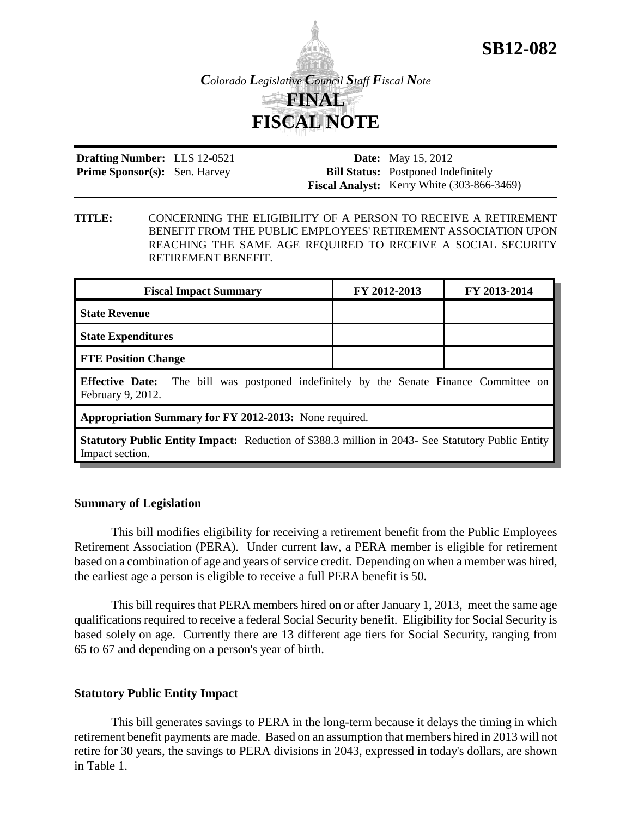

**Drafting Number:** LLS 12-0521 Prime Sponsor(s): Sen. Harvey

**Date:** May 15, 2012 **Bill Status:** Postponed Indefinitely **Fiscal Analyst:** Kerry White (303-866-3469)

**SB12-082**

**TITLE:** CONCERNING THE ELIGIBILITY OF A PERSON TO RECEIVE A RETIREMENT BENEFIT FROM THE PUBLIC EMPLOYEES' RETIREMENT ASSOCIATION UPON REACHING THE SAME AGE REQUIRED TO RECEIVE A SOCIAL SECURITY RETIREMENT BENEFIT.

| <b>Fiscal Impact Summary</b>                                                                                       | FY 2012-2013 | FY 2013-2014 |  |
|--------------------------------------------------------------------------------------------------------------------|--------------|--------------|--|
| <b>State Revenue</b>                                                                                               |              |              |  |
| <b>State Expenditures</b>                                                                                          |              |              |  |
| <b>FTE Position Change</b>                                                                                         |              |              |  |
| <b>Effective Date:</b> The bill was postponed indefinitely by the Senate Finance Committee on<br>February 9, 2012. |              |              |  |
| Appropriation Summary for FY 2012-2013: None required.                                                             |              |              |  |
|                                                                                                                    |              |              |  |

**Statutory Public Entity Impact:** Reduction of \$388.3 million in 2043- See Statutory Public Entity Impact section.

## **Summary of Legislation**

This bill modifies eligibility for receiving a retirement benefit from the Public Employees Retirement Association (PERA). Under current law, a PERA member is eligible for retirement based on a combination of age and years of service credit. Depending on when a member was hired, the earliest age a person is eligible to receive a full PERA benefit is 50.

This bill requires that PERA members hired on or after January 1, 2013, meet the same age qualifications required to receive a federal Social Security benefit. Eligibility for Social Security is based solely on age. Currently there are 13 different age tiers for Social Security, ranging from 65 to 67 and depending on a person's year of birth.

## **Statutory Public Entity Impact**

This bill generates savings to PERA in the long-term because it delays the timing in which retirement benefit payments are made. Based on an assumption that members hired in 2013 will not retire for 30 years, the savings to PERA divisions in 2043, expressed in today's dollars, are shown in Table 1.